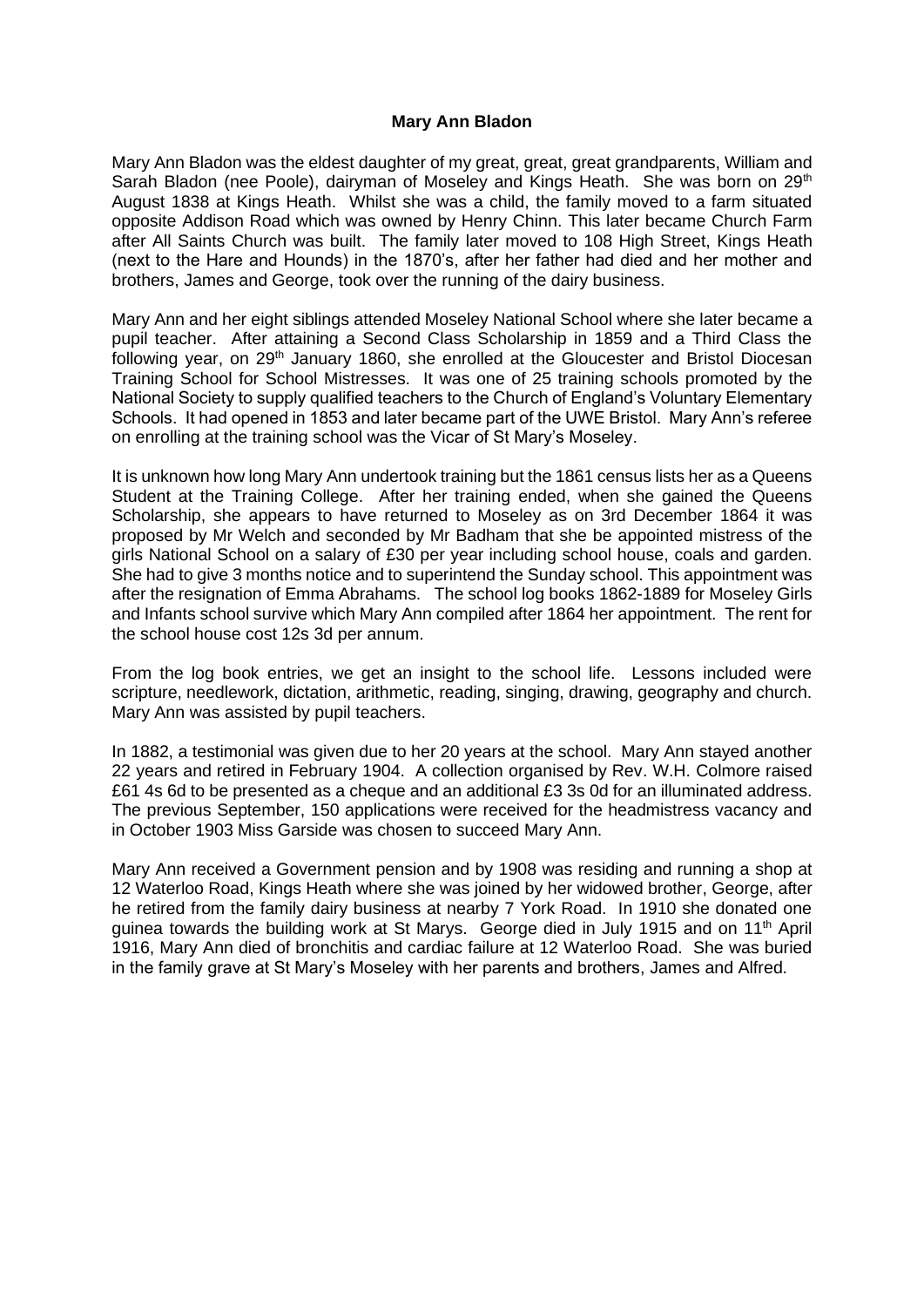## **Mary Ann Bladon**

Mary Ann Bladon was the eldest daughter of my great, great, great grandparents, William and Sarah Bladon (nee Poole), dairyman of Moseley and Kings Heath. She was born on 29<sup>th</sup> August 1838 at Kings Heath. Whilst she was a child, the family moved to a farm situated opposite Addison Road which was owned by Henry Chinn. This later became Church Farm after All Saints Church was built. The family later moved to 108 High Street, Kings Heath (next to the Hare and Hounds) in the 1870's, after her father had died and her mother and brothers, James and George, took over the running of the dairy business.

Mary Ann and her eight siblings attended Moseley National School where she later became a pupil teacher. After attaining a Second Class Scholarship in 1859 and a Third Class the following year, on 29<sup>th</sup> January 1860, she enrolled at the Gloucester and Bristol Diocesan Training School for School Mistresses. It was one of 25 training schools promoted by the National Society to supply qualified teachers to the Church of England's Voluntary Elementary Schools. It had opened in 1853 and later became part of the UWE Bristol. Mary Ann's referee on enrolling at the training school was the Vicar of St Mary's Moseley.

It is unknown how long Mary Ann undertook training but the 1861 census lists her as a Queens Student at the Training College. After her training ended, when she gained the Queens Scholarship, she appears to have returned to Moseley as on 3rd December 1864 it was proposed by Mr Welch and seconded by Mr Badham that she be appointed mistress of the girls National School on a salary of £30 per year including school house, coals and garden. She had to give 3 months notice and to superintend the Sunday school. This appointment was after the resignation of Emma Abrahams. The school log books 1862-1889 for Moseley Girls and Infants school survive which Mary Ann compiled after 1864 her appointment. The rent for the school house cost 12s 3d per annum.

From the log book entries, we get an insight to the school life. Lessons included were scripture, needlework, dictation, arithmetic, reading, singing, drawing, geography and church. Mary Ann was assisted by pupil teachers.

In 1882, a testimonial was given due to her 20 years at the school. Mary Ann stayed another 22 years and retired in February 1904. A collection organised by Rev. W.H. Colmore raised £61 4s 6d to be presented as a cheque and an additional £3 3s 0d for an illuminated address. The previous September, 150 applications were received for the headmistress vacancy and in October 1903 Miss Garside was chosen to succeed Mary Ann.

Mary Ann received a Government pension and by 1908 was residing and running a shop at 12 Waterloo Road, Kings Heath where she was joined by her widowed brother, George, after he retired from the family dairy business at nearby 7 York Road. In 1910 she donated one guinea towards the building work at St Marys. George died in July 1915 and on  $11<sup>th</sup>$  April 1916, Mary Ann died of bronchitis and cardiac failure at 12 Waterloo Road. She was buried in the family grave at St Mary's Moseley with her parents and brothers, James and Alfred.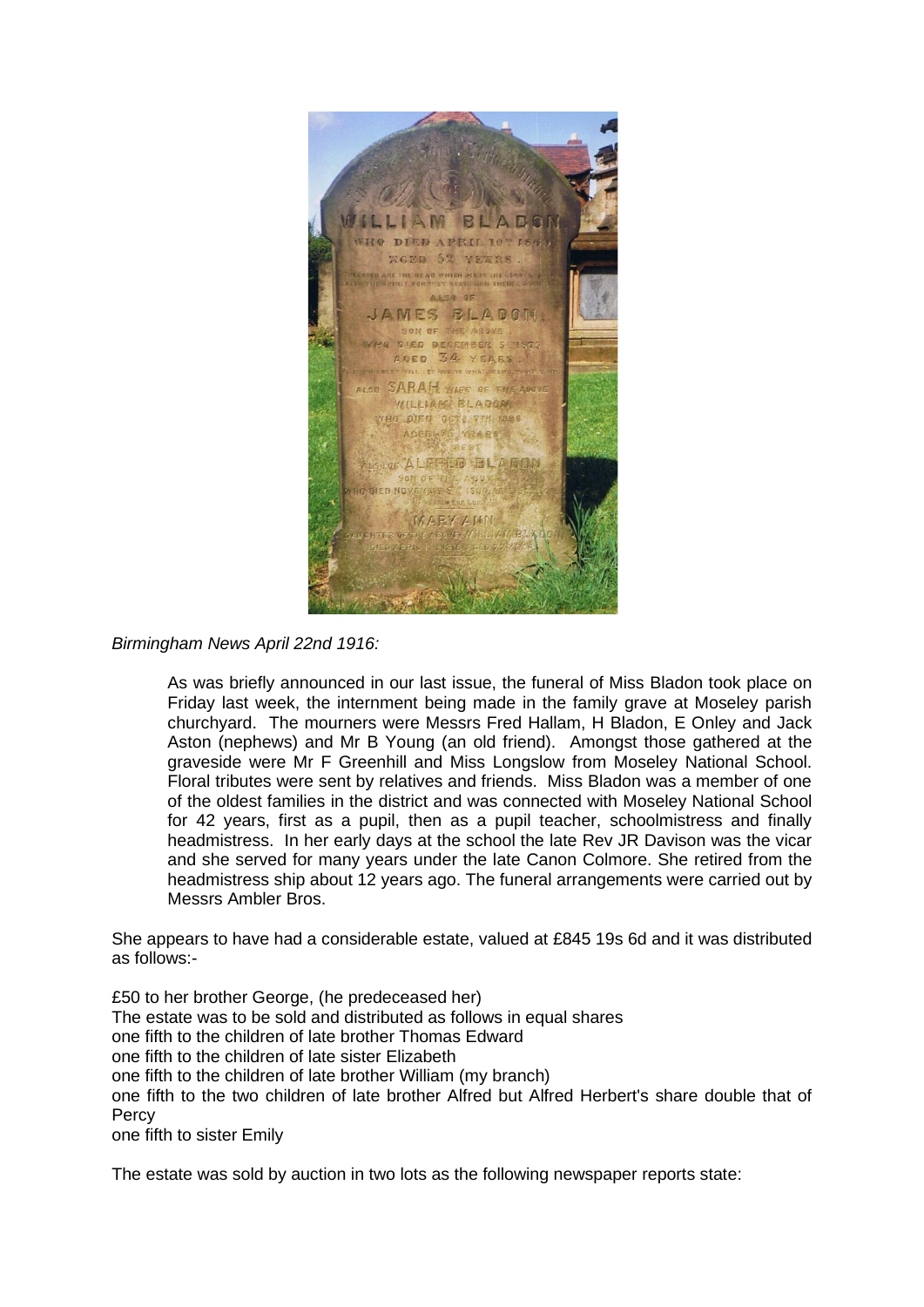

*Birmingham News April 22nd 1916:*

As was briefly announced in our last issue, the funeral of Miss Bladon took place on Friday last week, the internment being made in the family grave at Moseley parish churchyard. The mourners were Messrs Fred Hallam, H Bladon, E Onley and Jack Aston (nephews) and Mr B Young (an old friend). Amongst those gathered at the graveside were Mr F Greenhill and Miss Longslow from Moseley National School. Floral tributes were sent by relatives and friends. Miss Bladon was a member of one of the oldest families in the district and was connected with Moseley National School for 42 years, first as a pupil, then as a pupil teacher, schoolmistress and finally headmistress. In her early days at the school the late Rev JR Davison was the vicar and she served for many years under the late Canon Colmore. She retired from the headmistress ship about 12 years ago. The funeral arrangements were carried out by Messrs Ambler Bros.

She appears to have had a considerable estate, valued at £845 19s 6d and it was distributed as follows:-

£50 to her brother George, (he predeceased her) The estate was to be sold and distributed as follows in equal shares one fifth to the children of late brother Thomas Edward one fifth to the children of late sister Elizabeth one fifth to the children of late brother William (my branch) one fifth to the two children of late brother Alfred but Alfred Herbert's share double that of Percy one fifth to sister Emily

The estate was sold by auction in two lots as the following newspaper reports state: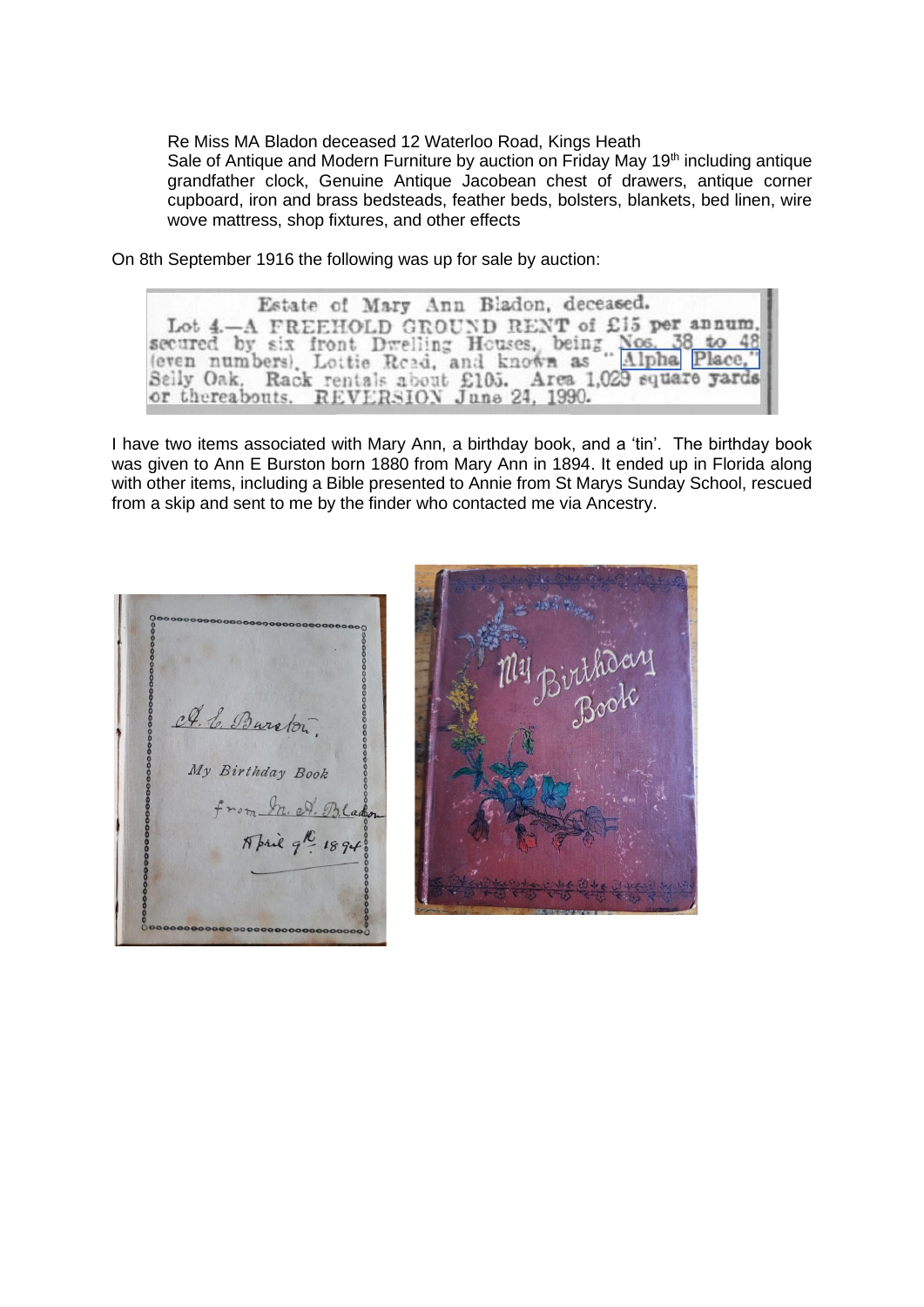Re Miss MA Bladon deceased 12 Waterloo Road, Kings Heath Sale of Antique and Modern Furniture by auction on Friday May 19<sup>th</sup> including antique grandfather clock, Genuine Antique Jacobean chest of drawers, antique corner cupboard, iron and brass bedsteads, feather beds, bolsters, blankets, bed linen, wire wove mattress, shop fixtures, and other effects

On 8th September 1916 the following was up for sale by auction:

Estate of Mary Ann Bladon, deceased. Lot 4.-A FREEHOLD GROUND RENT of £15 per annum, secured by six front Dwelling Houses, being Nos. 38 to 48 (even numbers). Lottie Road, and known as "Alpha Place," Seily Oak, Rack rentals about £105. Area 1,029 square yards or thereabouts. REVERSION June 24, 1990.

I have two items associated with Mary Ann, a birthday book, and a 'tin'. The birthday book was given to Ann E Burston born 1880 from Mary Ann in 1894. It ended up in Florida along with other items, including a Bible presented to Annie from St Marys Sunday School, rescued from a skip and sent to me by the finder who contacted me via Ancestry.

A. E. Burston My Birthday Book from In. A. Bladon April 9h 1894 I,

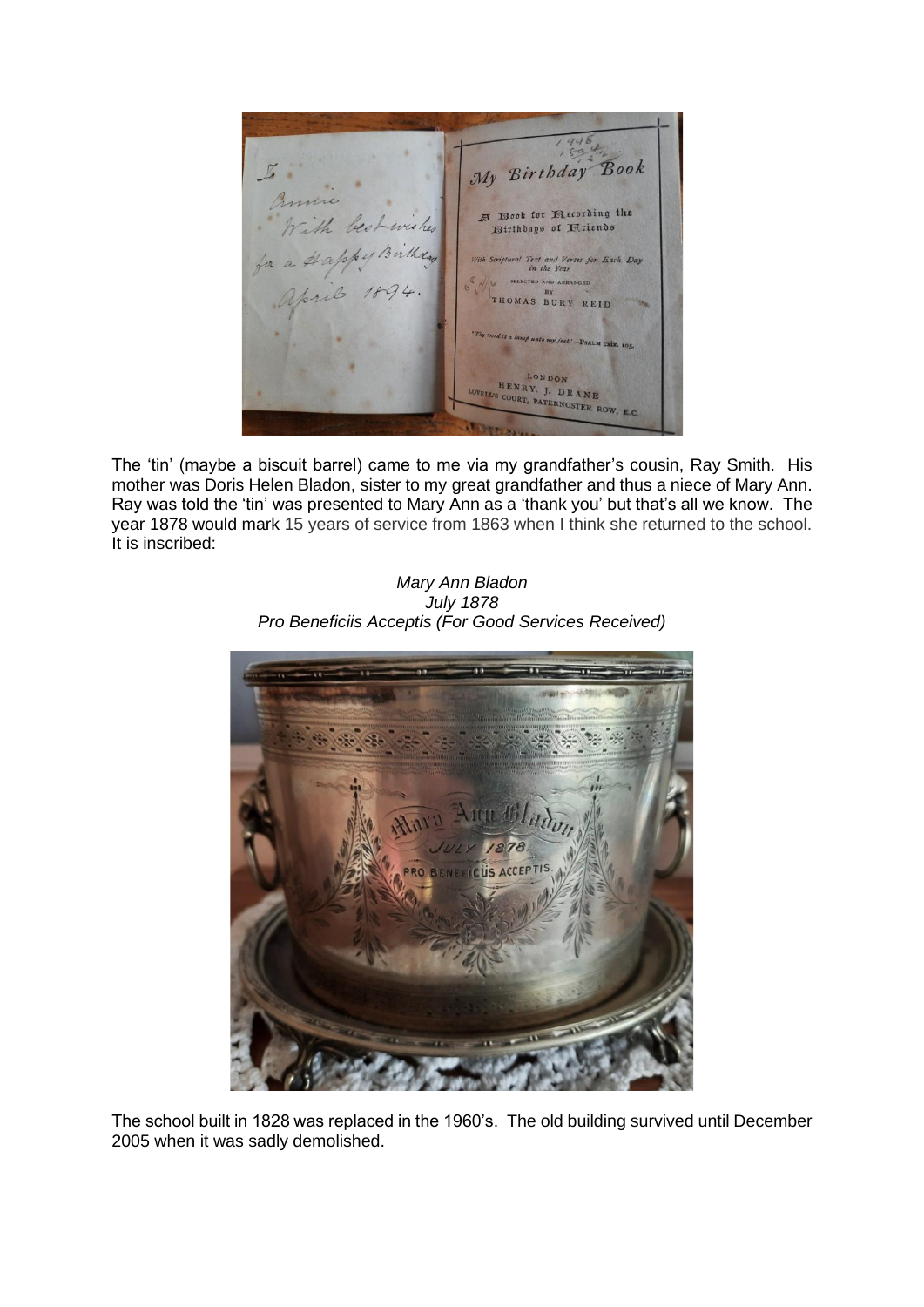My Birthday Book A Book for Recording the the best wishes Birthdays of Rriends With Scriptural Text and Verses for Each Day SELECTED AND AREA THOMAS BURY REID LONDON HENRY. J. DRANE WELL'S COURT, PATERNOSTER RO  $W, RC$ 

The 'tin' (maybe a biscuit barrel) came to me via my grandfather's cousin, Ray Smith. His mother was Doris Helen Bladon, sister to my great grandfather and thus a niece of Mary Ann. Ray was told the 'tin' was presented to Mary Ann as a 'thank you' but that's all we know. The year 1878 would mark 15 years of service from 1863 when I think she returned to the school. It is inscribed:

*Mary Ann Bladon July 1878 Pro Beneficiis Acceptis (For Good Services Received)*



The school built in 1828 was replaced in the 1960's. The old building survived until December 2005 when it was sadly demolished.